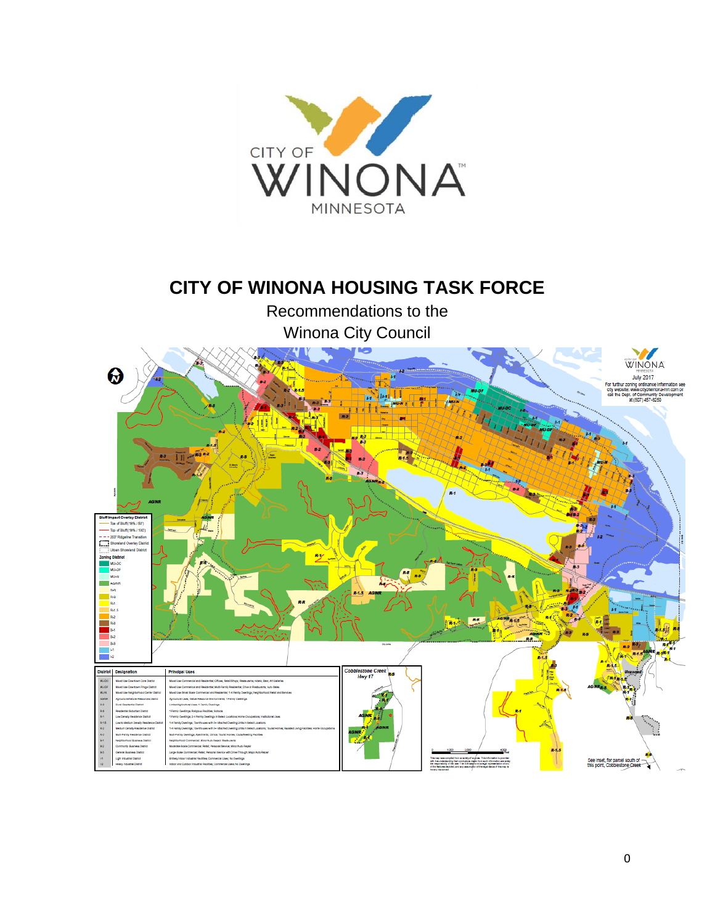

# **CITY OF WINONA HOUSING TASK FORCE**

Recommendations to the Winona City Council

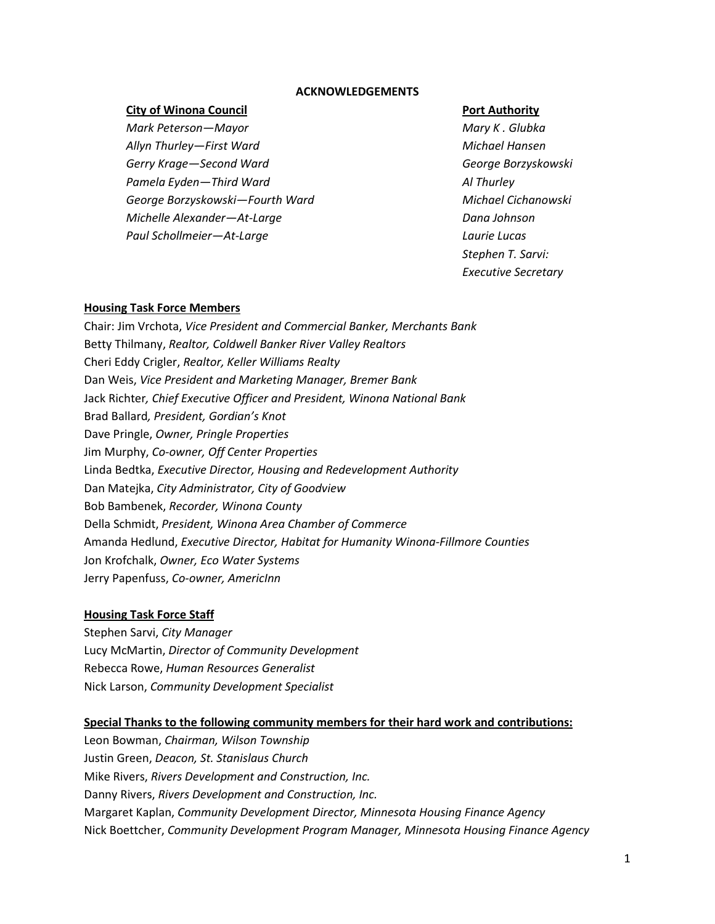#### **ACKNOWLEDGEMENTS**

#### **City of Winona Council Port Authority**

*Mark Peterson—Mayor Mary K . Glubka Allyn Thurley—First Ward Michael Hansen Gerry Krage—Second Ward George Borzyskowski Pamela Eyden—Third Ward Al Thurley George Borzyskowski—Fourth Ward Michael Cichanowski Michelle Alexander—At-Large Dana Johnson Paul Schollmeier—At-Large Laurie Lucas*

*Stephen T. Sarvi: Executive Secretary*

#### **Housing Task Force Members**

Chair: Jim Vrchota, *Vice President and Commercial Banker, Merchants Bank* Betty Thilmany, *Realtor, Coldwell Banker River Valley Realtors* Cheri Eddy Crigler, *Realtor, Keller Williams Realty* Dan Weis, *Vice President and Marketing Manager, Bremer Bank* Jack Richter*, Chief Executive Officer and President, Winona National Bank* Brad Ballard*, President, Gordian's Knot* Dave Pringle, *Owner, Pringle Properties* Jim Murphy, *Co-owner, Off Center Properties* Linda Bedtka, *Executive Director, Housing and Redevelopment Authority* Dan Matejka, *City Administrator, City of Goodview* Bob Bambenek, *Recorder, Winona County* Della Schmidt, *President, Winona Area Chamber of Commerce* Amanda Hedlund, *Executive Director, Habitat for Humanity Winona-Fillmore Counties* Jon Krofchalk, *Owner, Eco Water Systems* Jerry Papenfuss, *Co-owner, AmericInn*

#### **Housing Task Force Staff**

Stephen Sarvi, *City Manager* Lucy McMartin, *Director of Community Development* Rebecca Rowe, *Human Resources Generalist* Nick Larson, *Community Development Specialist*

#### **Special Thanks to the following community members for their hard work and contributions:**

Leon Bowman, *Chairman, Wilson Township* Justin Green, *Deacon, St. Stanislaus Church* Mike Rivers, *Rivers Development and Construction, Inc.* Danny Rivers, *Rivers Development and Construction, Inc.*  Margaret Kaplan, *Community Development Director, Minnesota Housing Finance Agency* Nick Boettcher, *Community Development Program Manager, Minnesota Housing Finance Agency*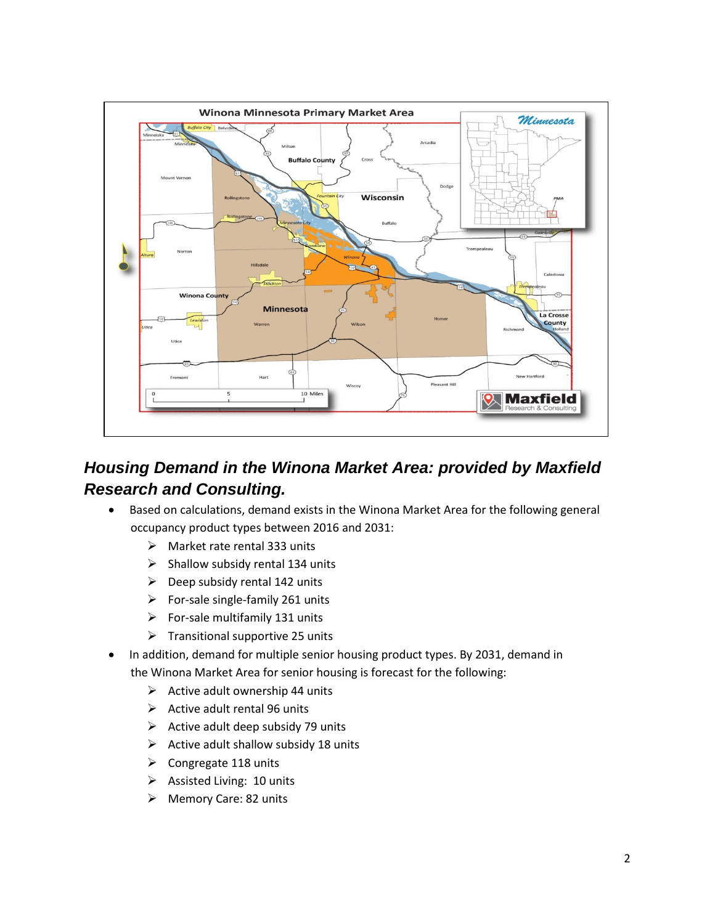

# *Housing Demand in the Winona Market Area: provided by Maxfield Research and Consulting.*

- Based on calculations, demand exists in the Winona Market Area for the following general occupancy product types between 2016 and 2031:
	- $\triangleright$  Market rate rental 333 units
	- $\triangleright$  Shallow subsidy rental 134 units
	- $\triangleright$  Deep subsidy rental 142 units
	- $\triangleright$  For-sale single-family 261 units
	- $\triangleright$  For-sale multifamily 131 units
	- $\triangleright$  Transitional supportive 25 units
- In addition, demand for multiple senior housing product types. By 2031, demand in the Winona Market Area for senior housing is forecast for the following:
	- $\triangleright$  Active adult ownership 44 units
	- $\triangleright$  Active adult rental 96 units
	- $\triangleright$  Active adult deep subsidy 79 units
	- $\triangleright$  Active adult shallow subsidy 18 units
	- $\triangleright$  Congregate 118 units
	- $\triangleright$  Assisted Living: 10 units
	- Memory Care: 82 units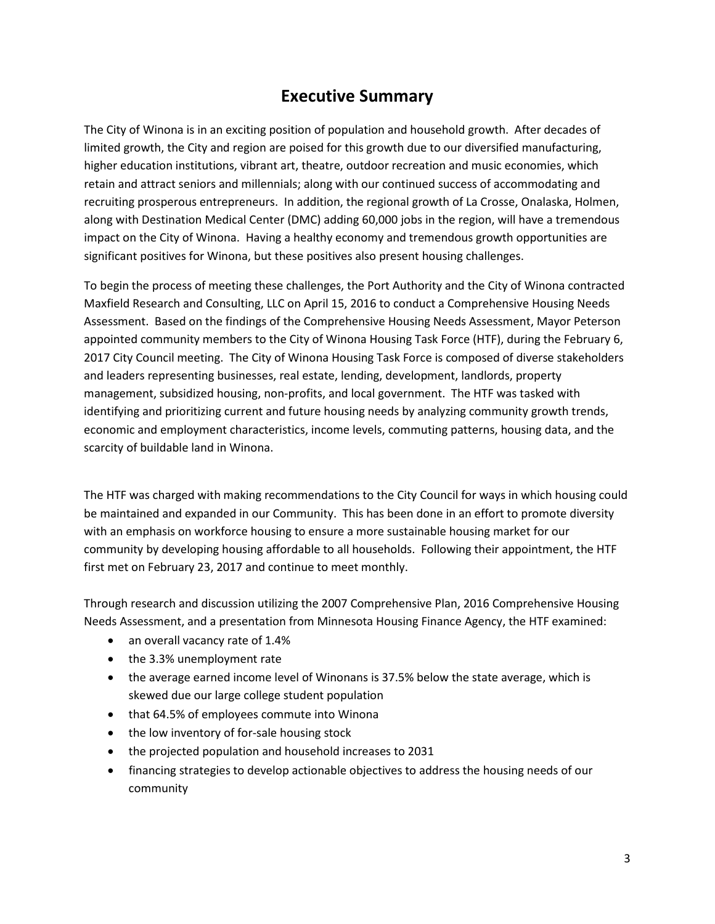# **Executive Summary**

The City of Winona is in an exciting position of population and household growth. After decades of limited growth, the City and region are poised for this growth due to our diversified manufacturing, higher education institutions, vibrant art, theatre, outdoor recreation and music economies, which retain and attract seniors and millennials; along with our continued success of accommodating and recruiting prosperous entrepreneurs. In addition, the regional growth of La Crosse, Onalaska, Holmen, along with Destination Medical Center (DMC) adding 60,000 jobs in the region, will have a tremendous impact on the City of Winona. Having a healthy economy and tremendous growth opportunities are significant positives for Winona, but these positives also present housing challenges.

To begin the process of meeting these challenges, the Port Authority and the City of Winona contracted Maxfield Research and Consulting, LLC on April 15, 2016 to conduct a Comprehensive Housing Needs Assessment. Based on the findings of the Comprehensive Housing Needs Assessment, Mayor Peterson appointed community members to the City of Winona Housing Task Force (HTF), during the February 6, 2017 City Council meeting. The City of Winona Housing Task Force is composed of diverse stakeholders and leaders representing businesses, real estate, lending, development, landlords, property management, subsidized housing, non-profits, and local government. The HTF was tasked with identifying and prioritizing current and future housing needs by analyzing community growth trends, economic and employment characteristics, income levels, commuting patterns, housing data, and the scarcity of buildable land in Winona.

The HTF was charged with making recommendations to the City Council for ways in which housing could be maintained and expanded in our Community. This has been done in an effort to promote diversity with an emphasis on workforce housing to ensure a more sustainable housing market for our community by developing housing affordable to all households. Following their appointment, the HTF first met on February 23, 2017 and continue to meet monthly.

Through research and discussion utilizing the 2007 Comprehensive Plan, 2016 Comprehensive Housing Needs Assessment, and a presentation from Minnesota Housing Finance Agency, the HTF examined:

- an overall vacancy rate of 1.4%
- the 3.3% unemployment rate
- the average earned income level of Winonans is 37.5% below the state average, which is skewed due our large college student population
- that 64.5% of employees commute into Winona
- the low inventory of for-sale housing stock
- the projected population and household increases to 2031
- financing strategies to develop actionable objectives to address the housing needs of our community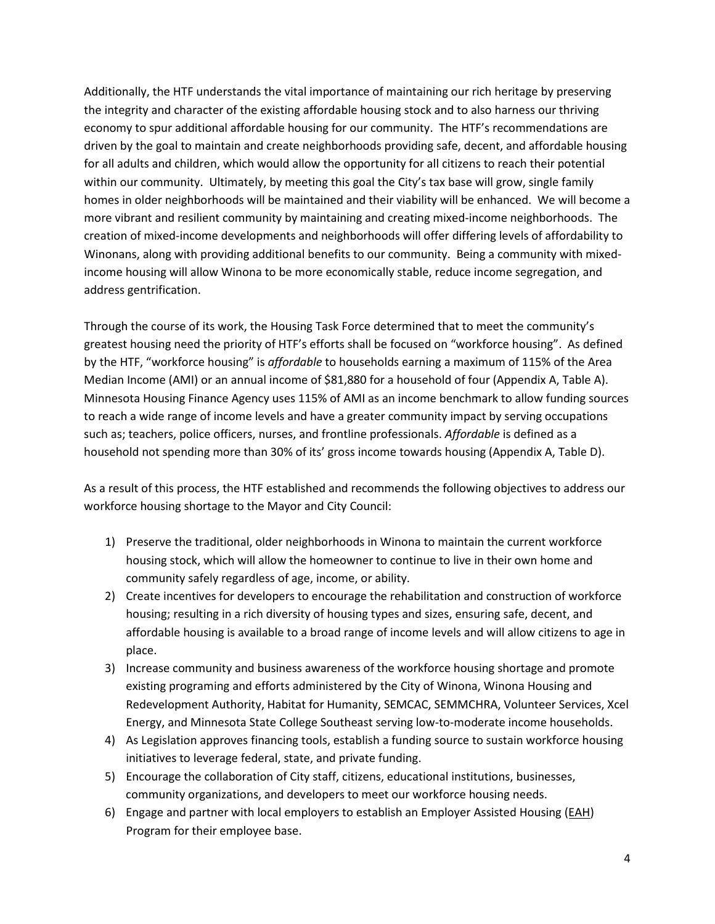Additionally, the HTF understands the vital importance of maintaining our rich heritage by preserving the integrity and character of the existing affordable housing stock and to also harness our thriving economy to spur additional affordable housing for our community. The HTF's recommendations are driven by the goal to maintain and create neighborhoods providing safe, decent, and affordable housing for all adults and children, which would allow the opportunity for all citizens to reach their potential within our community. Ultimately, by meeting this goal the City's tax base will grow, single family homes in older neighborhoods will be maintained and their viability will be enhanced. We will become a more vibrant and resilient community by maintaining and creating mixed-income neighborhoods. The creation of mixed-income developments and neighborhoods will offer differing levels of affordability to Winonans, along with providing additional benefits to our community. Being a community with mixedincome housing will allow Winona to be more economically stable, reduce income segregation, and address gentrification.

Through the course of its work, the Housing Task Force determined that to meet the community's greatest housing need the priority of HTF's efforts shall be focused on "workforce housing". As defined by the HTF, "workforce housing" is *affordable* to households earning a maximum of 115% of the Area Median Income (AMI) or an annual income of \$81,880 for a household of four (Appendix A, Table A). Minnesota Housing Finance Agency uses 115% of AMI as an income benchmark to allow funding sources to reach a wide range of income levels and have a greater community impact by serving occupations such as; teachers, police officers, nurses, and frontline professionals. *Affordable* is defined as a household not spending more than 30% of its' gross income towards housing (Appendix A, Table D).

As a result of this process, the HTF established and recommends the following objectives to address our workforce housing shortage to the Mayor and City Council:

- 1) Preserve the traditional, older neighborhoods in Winona to maintain the current workforce housing stock, which will allow the homeowner to continue to live in their own home and community safely regardless of age, income, or ability.
- 2) Create incentives for developers to encourage the rehabilitation and construction of workforce housing; resulting in a rich diversity of housing types and sizes, ensuring safe, decent, and affordable housing is available to a broad range of income levels and will allow citizens to age in place.
- 3) Increase community and business awareness of the workforce housing shortage and promote existing programing and efforts administered by the City of Winona, Winona Housing and Redevelopment Authority, Habitat for Humanity, SEMCAC, SEMMCHRA, Volunteer Services, Xcel Energy, and Minnesota State College Southeast serving low-to-moderate income households.
- 4) As Legislation approves financing tools, establish a funding source to sustain workforce housing initiatives to leverage federal, state, and private funding.
- 5) Encourage the collaboration of City staff, citizens, educational institutions, businesses, community organizations, and developers to meet our workforce housing needs.
- 6) Engage and partner with local employers to establish an Employer Assisted Housing [\(EAH\)](http://gmhf.com/2016/09/01/the-minnesota-employer-assisted-housing-handbook/) Program for their employee base.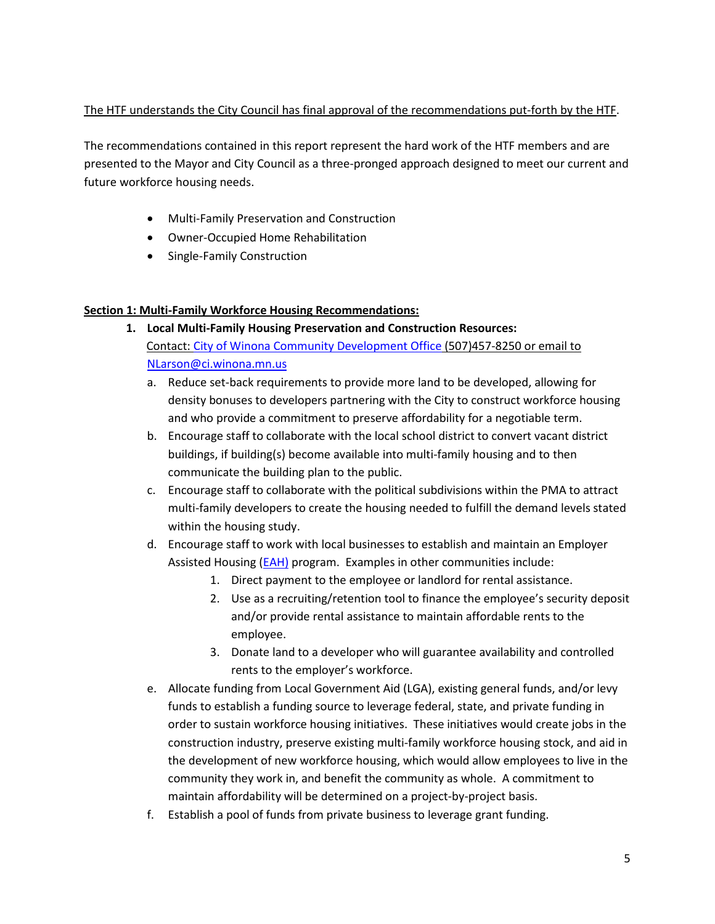# The HTF understands the City Council has final approval of the recommendations put-forth by the HTF.

The recommendations contained in this report represent the hard work of the HTF members and are presented to the Mayor and City Council as a three-pronged approach designed to meet our current and future workforce housing needs.

- Multi-Family Preservation and Construction
- Owner-Occupied Home Rehabilitation
- Single-Family Construction

# **Section 1: Multi-Family Workforce Housing Recommendations:**

- **1. Local Multi-Family Housing Preservation and Construction Resources:** Contact[: City of Winona Community Development Office](https://www.cityofwinona.com/city-services/community-development/) (507)457-8250 or email to [NLarson@ci.winona.mn.us](mailto:NLarson@ci.winona.mn.us)
	- a. Reduce set-back requirements to provide more land to be developed, allowing for density bonuses to developers partnering with the City to construct workforce housing and who provide a commitment to preserve affordability for a negotiable term.
	- b. Encourage staff to collaborate with the local school district to convert vacant district buildings, if building(s) become available into multi-family housing and to then communicate the building plan to the public.
	- c. Encourage staff to collaborate with the political subdivisions within the PMA to attract multi-family developers to create the housing needed to fulfill the demand levels stated within the housing study.
	- d. Encourage staff to work with local businesses to establish and maintain an Employer Assisted Housing [\(EAH\)](http://gmhf.com/about/programs/employer-assisted-housing/) program. Examples in other communities include:
		- 1. Direct payment to the employee or landlord for rental assistance.
		- 2. Use as a recruiting/retention tool to finance the employee's security deposit and/or provide rental assistance to maintain affordable rents to the employee.
		- 3. Donate land to a developer who will guarantee availability and controlled rents to the employer's workforce.
	- e. Allocate funding from Local Government Aid (LGA), existing general funds, and/or levy funds to establish a funding source to leverage federal, state, and private funding in order to sustain workforce housing initiatives. These initiatives would create jobs in the construction industry, preserve existing multi-family workforce housing stock, and aid in the development of new workforce housing, which would allow employees to live in the community they work in, and benefit the community as whole. A commitment to maintain affordability will be determined on a project-by-project basis.
	- f. Establish a pool of funds from private business to leverage grant funding.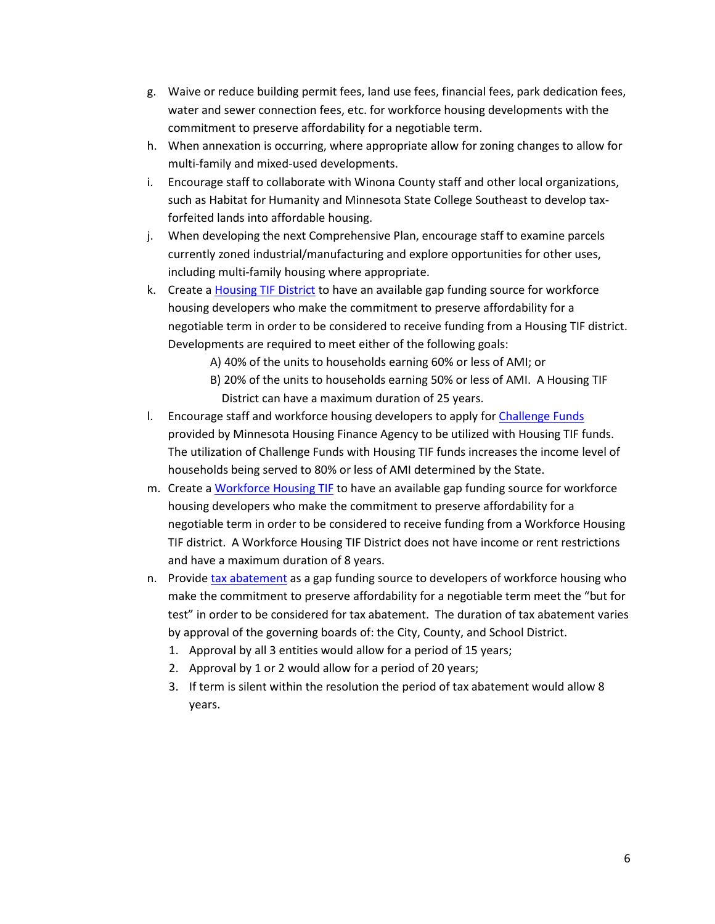- g. Waive or reduce building permit fees, land use fees, financial fees, park dedication fees, water and sewer connection fees, etc. for workforce housing developments with the commitment to preserve affordability for a negotiable term.
- h. When annexation is occurring, where appropriate allow for zoning changes to allow for multi-family and mixed-used developments.
- i. Encourage staff to collaborate with Winona County staff and other local organizations, such as Habitat for Humanity and Minnesota State College Southeast to develop taxforfeited lands into affordable housing.
- j. When developing the next Comprehensive Plan, encourage staff to examine parcels currently zoned industrial/manufacturing and explore opportunities for other uses, including multi-family housing where appropriate.
- k. Create a [Housing TIF District](http://www.house.leg.state.mn.us/hrd/issinfo/tif/hsgdist.aspx) to have an available gap funding source for workforce housing developers who make the commitment to preserve affordability for a negotiable term in order to be considered to receive funding from a Housing TIF district. Developments are required to meet either of the following goals:
	- A) 40% of the units to households earning 60% or less of AMI; or
	- B) 20% of the units to households earning 50% or less of AMI. A Housing TIF District can have a maximum duration of 25 years.
- l. Encourage staff and workforce housing developers to apply for Challenge Funds provided by Minnesota Housing Finance Agency to be utilized with Housing TIF funds. The utilization of Challenge Funds with Housing TIF funds increases the income level of households being served to 80% or less of AMI determined by the State.
- m. Create a [Workforce Housing TIF](https://www.senate.mn/departments/scr/billsumm/summary_display_from_db.php?ls=90&id=5437) to have an available gap funding source for workforce housing developers who make the commitment to preserve affordability for a negotiable term in order to be considered to receive funding from a Workforce Housing TIF district. A Workforce Housing TIF District does not have income or rent restrictions and have a maximum duration of 8 years.
- n. Provid[e tax abatement](https://www.revisor.mn.gov/statutes/?id=469.1813) as a gap funding source to developers of workforce housing who make the commitment to preserve affordability for a negotiable term meet the "but for test" in order to be considered for tax abatement. The duration of tax abatement varies by approval of the governing boards of: the City, County, and School District.
	- 1. Approval by all 3 entities would allow for a period of 15 years;
	- 2. Approval by 1 or 2 would allow for a period of 20 years;
	- 3. If term is silent within the resolution the period of tax abatement would allow 8 years.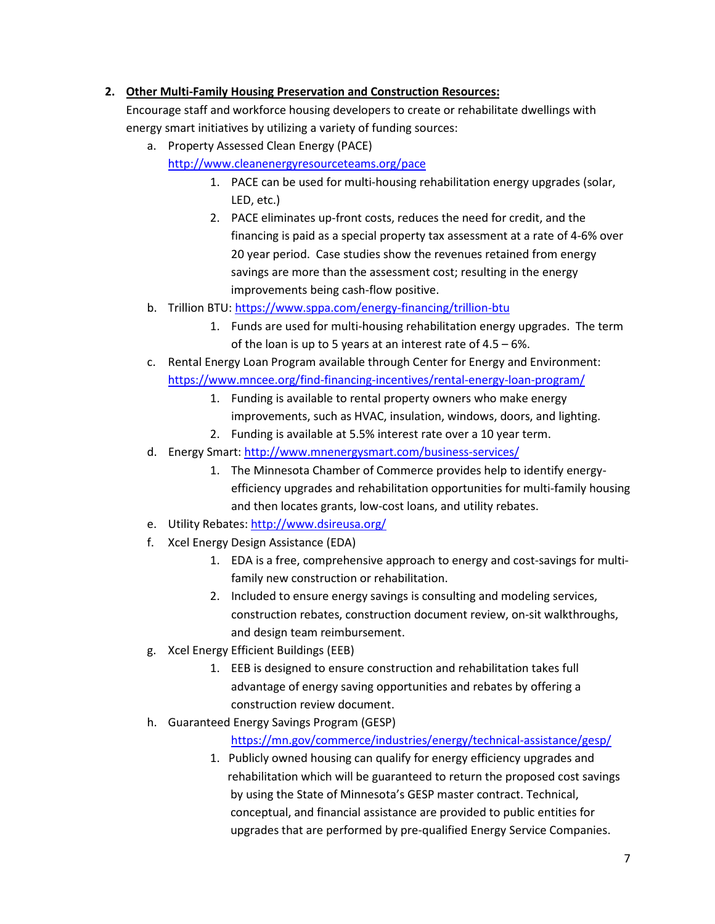# **2. Other Multi-Family Housing Preservation and Construction Resources:**

Encourage staff and workforce housing developers to create or rehabilitate dwellings with energy smart initiatives by utilizing a variety of funding sources:

- a. Property Assessed Clean Energy (PACE) <http://www.cleanenergyresourceteams.org/pace>
	- 1. PACE can be used for multi-housing rehabilitation energy upgrades (solar, LED, etc.)
	- 2. PACE eliminates up-front costs, reduces the need for credit, and the financing is paid as a special property tax assessment at a rate of 4-6% over 20 year period. Case studies show the revenues retained from energy savings are more than the assessment cost; resulting in the energy improvements being cash-flow positive.
- b. Trillion BTU:<https://www.sppa.com/energy-financing/trillion-btu>
	- 1. Funds are used for multi-housing rehabilitation energy upgrades. The term of the loan is up to 5 years at an interest rate of 4.5 – 6%.
- c. Rental Energy Loan Program available through Center for Energy and Environment: <https://www.mncee.org/find-financing-incentives/rental-energy-loan-program/>
	- 1. Funding is available to rental property owners who make energy improvements, such as HVAC, insulation, windows, doors, and lighting.
	- 2. Funding is available at 5.5% interest rate over a 10 year term.
- d. Energy Smart:<http://www.mnenergysmart.com/business-services/>
	- 1. The Minnesota Chamber of Commerce provides help to identify energyefficiency upgrades and rehabilitation opportunities for multi-family housing and then locates grants, low-cost loans, and utility rebates.
- e. Utility Rebates: <http://www.dsireusa.org/>
- f. Xcel Energy Design Assistance (EDA)
	- 1. EDA is a free, comprehensive approach to energy and cost-savings for multifamily new construction or rehabilitation.
	- 2. Included to ensure energy savings is consulting and modeling services, construction rebates, construction document review, on-sit walkthroughs, and design team reimbursement.
- g. Xcel Energy Efficient Buildings (EEB)
	- 1. EEB is designed to ensure construction and rehabilitation takes full advantage of energy saving opportunities and rebates by offering a construction review document.
- h. Guaranteed Energy Savings Program (GESP)

<https://mn.gov/commerce/industries/energy/technical-assistance/gesp/>

1. Publicly owned housing can qualify for energy efficiency upgrades and rehabilitation which will be guaranteed to return the proposed cost savings by using the State of Minnesota's GESP master contract. Technical, conceptual, and financial assistance are provided to public entities for upgrades that are performed by pre-qualified Energy Service Companies.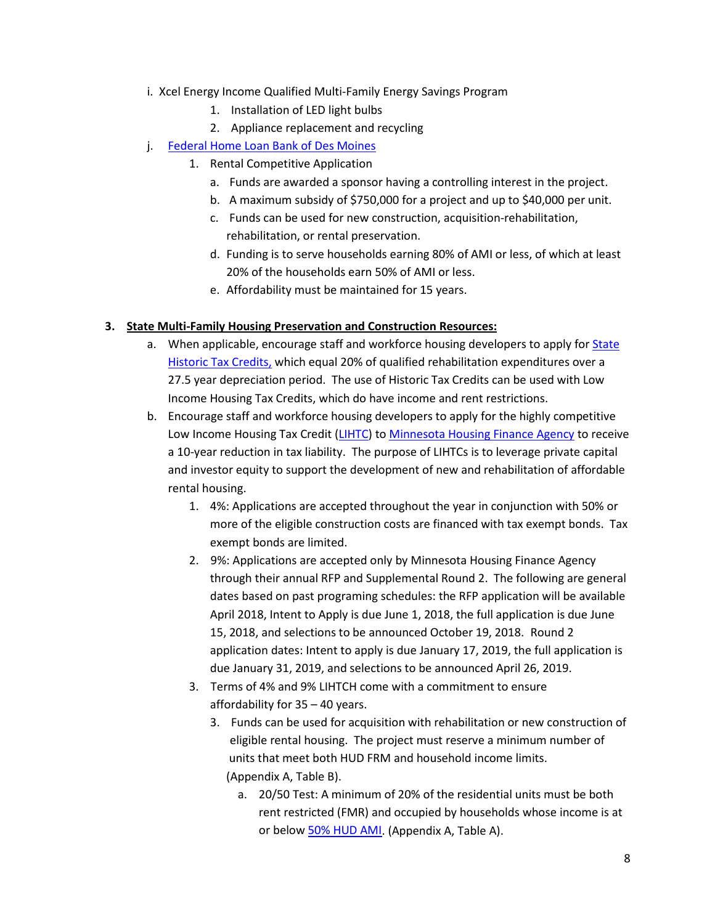- i. Xcel Energy Income Qualified Multi-Family Energy Savings Program
	- 1. Installation of LED light bulbs
	- 2. Appliance replacement and recycling
- j. [Federal Home Loan Bank of Des Moines](http://www.fhlbdm.com/affordable-housing-products/competitive-affordable-housing-program/)
	- 1. Rental Competitive Application
		- a. Funds are awarded a sponsor having a controlling interest in the project.
		- b. A maximum subsidy of \$750,000 for a project and up to \$40,000 per unit.
		- c. Funds can be used for new construction, acquisition-rehabilitation, rehabilitation, or rental preservation.
		- d. Funding is to serve households earning 80% of AMI or less, of which at least 20% of the households earn 50% of AMI or less.
		- e. Affordability must be maintained for 15 years.

## **3. State Multi-Family Housing Preservation and Construction Resources:**

- a. When applicable, encourage staff and workforce housing developers to apply fo[r State](http://www.mnhs.org/shpo/grants/mnhistoricstructurerehabilitationstatetaxcredit.php)  [Historic Tax Credits,](http://www.mnhs.org/shpo/grants/mnhistoricstructurerehabilitationstatetaxcredit.php) which equal 20% of qualified rehabilitation expenditures over a 27.5 year depreciation period. The use of Historic Tax Credits can be used with Low Income Housing Tax Credits, which do have income and rent restrictions.
- b. Encourage staff and workforce housing developers to apply for the highly competitive Low Income Housing Tax Credit [\(LIHTC\)](http://www.mnhousing.gov/wcs/Satellite?c=Page&cid=1358905254471&pagename=External%2FPage%2FEXTStandardLayout) to [Minnesota Housing Finance Agency](http://www.mnhousing.gov/wcs/Satellite?c=Page&pagename=External%2FPage%2FEXTHomeLayout&cid=1358904711497) to receive a 10-year reduction in tax liability. The purpose of LIHTCs is to leverage private capital and investor equity to support the development of new and rehabilitation of affordable rental housing.
	- 1. 4%: Applications are accepted throughout the year in conjunction with 50% or more of the eligible construction costs are financed with tax exempt bonds. Tax exempt bonds are limited.
	- 2. 9%: Applications are accepted only by Minnesota Housing Finance Agency through their annual RFP and Supplemental Round 2. The following are general dates based on past programing schedules: the RFP application will be available April 2018, Intent to Apply is due June 1, 2018, the full application is due June 15, 2018, and selections to be announced October 19, 2018. Round 2 application dates: Intent to apply is due January 17, 2019, the full application is due January 31, 2019, and selections to be announced April 26, 2019.
	- 3. Terms of 4% and 9% LIHTCH come with a commitment to ensure affordability for 35 – 40 years.
		- 3. Funds can be used for acquisition with rehabilitation or new construction of eligible rental housing. The project must reserve a minimum number of units that meet both HUD FRM and household income limits. (Appendix A, Table B).
			- a. 20/50 Test: A minimum of 20% of the residential units must be both rent restricted (FMR) and occupied by households whose income is at or below [50% HUD AMI.](https://www.huduser.gov/portal/datasets/il/il2017/2017sum_mtsp.odn) (Appendix A, Table A).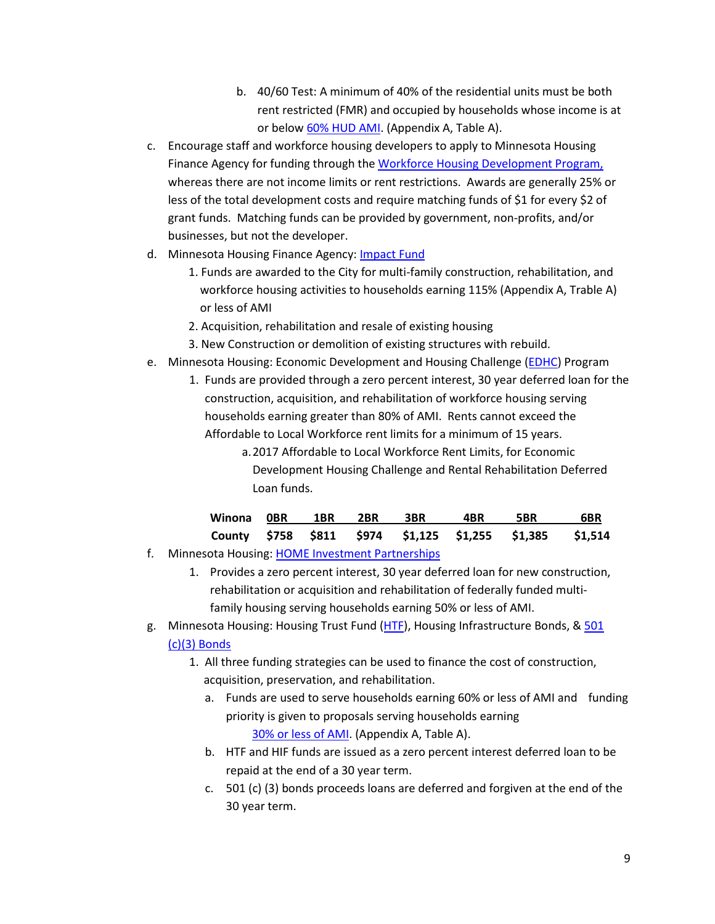- b. 40/60 Test: A minimum of 40% of the residential units must be both rent restricted (FMR) and occupied by households whose income is at or belo[w 60% HUD AMI.](https://www.huduser.gov/portal/datasets/il/il2017/2017sum_mtsp.odn) (Appendix A, Table A).
- c. Encourage staff and workforce housing developers to apply to Minnesota Housing Finance Agency for funding through the [Workforce Housing Development Program,](http://www.mnhousing.gov/wcs/Satellite?c=Page&cid=1503450639018&pagename=External%2FPage%2FEXTStandardLayout) whereas there are not income limits or rent restrictions. Awards are generally 25% or less of the total development costs and require matching funds of \$1 for every \$2 of grant funds. Matching funds can be provided by government, non-profits, and/or businesses, but not the developer.
- d. Minnesota Housing Finance Agency: **Impact Fund** 
	- 1. Funds are awarded to the City for multi-family construction, rehabilitation, and workforce housing activities to households earning 115% (Appendix A, Trable A) or less of AMI
	- 2. Acquisition, rehabilitation and resale of existing housing
	- 3. New Construction or demolition of existing structures with rebuild.
- e. Minnesota Housing: Economic Development and Housing Challenge [\(EDHC\)](http://www.mnhousing.gov/wcs/Satellite?blobcol=urldata&blobheadername1=Content-Type&blobheadername2=Content-Disposition&blobheadername3=MDT-Type&blobheadervalue1=application%2Fpdf&blobheadervalue2=attachment%3B+filename%3DMHFA_003718.pdf&blobheadervalue3=abinary%3B+charset%3DUTF-8&blobkey=id&blobtable=MungoBlobs&blobwhere=1361480830315&ssbinary=true) Program
	- 1. Funds are provided through a zero percent interest, 30 year deferred loan for the construction, acquisition, and rehabilitation of workforce housing serving households earning greater than 80% of AMI. Rents cannot exceed the Affordable to Local Workforce rent limits for a minimum of 15 years.
		- a.2017 Affordable to Local Workforce Rent Limits, for Economic Development Housing Challenge and Rental Rehabilitation Deferred Loan funds.

|  |  | Winona OBR 1BR 2BR 3BR 4BR 5BR |                                                          | <b>EXAMPLE 19 ST GBR</b> |
|--|--|--------------------------------|----------------------------------------------------------|--------------------------|
|  |  |                                | County \$758 \$811 \$974 \$1,125 \$1,255 \$1,385 \$1,514 |                          |

- f. Minnesota Housing: [HOME Investment Partnerships](http://www.mnhousing.gov/wcs/Satellite?blobcol=urldata&blobheadername1=Content-Type&blobheadername2=Content-Disposition&blobheadername3=MDT-Type&blobheadervalue1=application%2Fpdf&blobheadervalue2=attachment%3B+filename%3DMHFA_1041356.pdf&blobheadervalue3=abinary%3B+charset%3DUTF-8&blobkey=id&blobtable=MungoBlobs&blobwhere=1361480833264&ssbinary=true)
	- 1. Provides a zero percent interest, 30 year deferred loan for new construction, rehabilitation or acquisition and rehabilitation of federally funded multifamily housing serving households earning 50% or less of AMI.
- g. Minnesota Housing: Housing Trust Fund [\(HTF\)](http://www.mnhousing.gov/wcs/Satellite?blobcol=urldata&blobheadername1=Content-Type&blobheadername2=Content-Disposition&blobheadername3=MDT-Type&blobheadervalue1=application%2Fpdf&blobheadervalue2=attachment%3B+filename%3DMHFA_002031.pdf&blobheadervalue3=abinary%3B+charset%3DUTF-8&blobkey=id&blobtable=MungoBlobs&blobwhere=1361480832057&ssbinary=true), Housing Infrastructure Bonds, [& 501](http://www.mnhousing.gov/wcs/Satellite?blobcol=urldata&blobheadername1=Content-Type&blobheadername2=Content-Disposition&blobheadername3=MDT-Type&blobheadervalue1=application%2Fpdf&blobheadervalue2=attachment%3B+filename%3DMHFA_002031.pdf&blobheadervalue3=abinary%3B+charset%3DUTF-8&blobkey=id&blobtable=MungoBlobs&blobwhere=1361480832057&ssbinary=true)  [\(c\)\(3\) Bonds](http://www.mnhousing.gov/wcs/Satellite?blobcol=urldata&blobheadername1=Content-Type&blobheadername2=Content-Disposition&blobheadername3=MDT-Type&blobheadervalue1=application%2Fpdf&blobheadervalue2=attachment%3B+filename%3DMHFA_002031.pdf&blobheadervalue3=abinary%3B+charset%3DUTF-8&blobkey=id&blobtable=MungoBlobs&blobwhere=1361480832057&ssbinary=true)
	- 1. All three funding strategies can be used to finance the cost of construction, acquisition, preservation, and rehabilitation.
		- a. Funds are used to serve households earning 60% or less of AMI and funding priority is given to proposals serving households earning [30% or less of AMI.](https://www.huduser.gov/portal/datasets/il/il2017/2017summary.odn) (Appendix A, Table A).
		- b. HTF and HIF funds are issued as a zero percent interest deferred loan to be repaid at the end of a 30 year term.
		- c. 501 (c) (3) bonds proceeds loans are deferred and forgiven at the end of the 30 year term.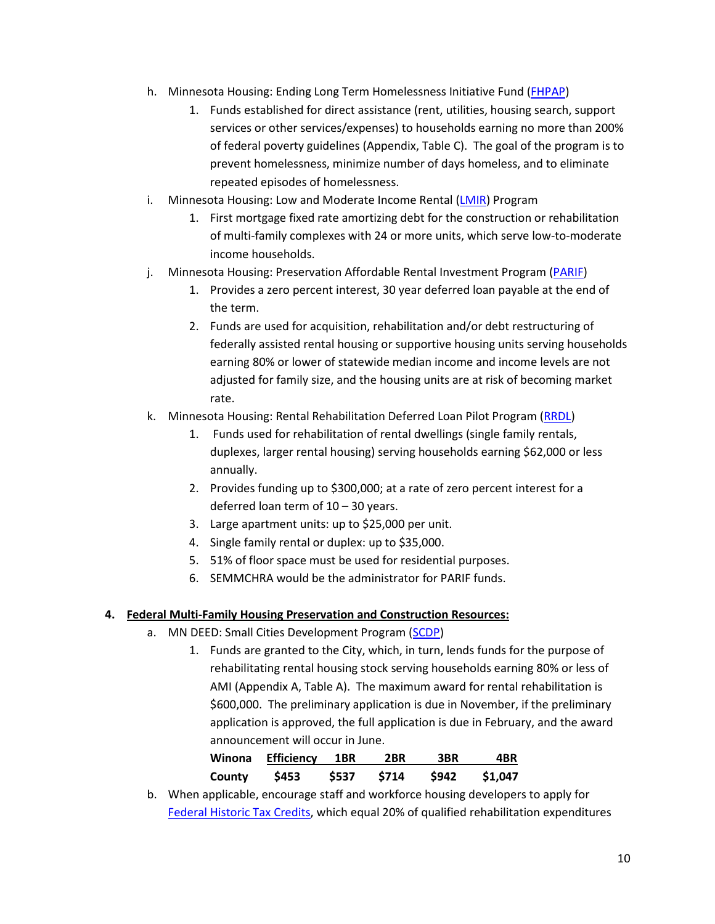- h. Minnesota Housing: Ending Long Term Homelessness Initiative Fund [\(FHPAP\)](http://www.mnhousing.gov/wcs/Satellite?c=Page&cid=1358905336155&pagename=External%2FPage%2FEXTStandardLayout)
	- 1. Funds established for direct assistance (rent, utilities, housing search, support services or other services/expenses) to households earning no more than 200% of federal poverty guidelines (Appendix, Table C). The goal of the program is to prevent homelessness, minimize number of days homeless, and to eliminate repeated episodes of homelessness.
- i. Minnesota Housing: Low and Moderate Income Rental [\(LMIR\)](http://www.mnhousing.gov/wcs/Satellite?blobcol=urldata&blobheadername1=Content-Type&blobheadername2=Content-Disposition&blobheadername3=MDT-Type&blobheadervalue1=application%2Fpdf&blobheadervalue2=attachment%3B+filename%3DMHFA_1016813.pdf&blobheadervalue3=abinary%3B+charset%3DUTF-8&blobkey=id&blobtable=MungoBlobs&blobwhere=1361480854644&ssbinary=true) Program
	- 1. First mortgage fixed rate amortizing debt for the construction or rehabilitation of multi-family complexes with 24 or more units, which serve low-to-moderate income households.
- j. Minnesota Housing: Preservation Affordable Rental Investment Program [\(PARIF\)](http://www.mnhousing.gov/wcs/Satellite?blobcol=urldata&blobheadername1=Content-Type&blobheadername2=Content-Disposition&blobheadername3=MDT-Type&blobheadervalue1=application%2Fpdf&blobheadervalue2=attachment%3B+filename%3DMHFA_006876.pdf&blobheadervalue3=abinary%3B+charset%3DUTF-8&blobkey=id&blobtable=MungoBlobs&blobwhere=1361480831970&ssbinary=true)
	- 1. Provides a zero percent interest, 30 year deferred loan payable at the end of the term.
	- 2. Funds are used for acquisition, rehabilitation and/or debt restructuring of federally assisted rental housing or supportive housing units serving households earning 80% or lower of statewide median income and income levels are not adjusted for family size, and the housing units are at risk of becoming market rate.
- k. Minnesota Housing: Rental Rehabilitation Deferred Loan Pilot Program [\(RRDL\)](http://www.mnhousing.gov/wcs/Satellite?blobcol=urldata&blobheadername1=Content-Type&blobheadername2=Content-Disposition&blobheadername3=MDT-Type&blobheadervalue1=application%2Fpdf&blobheadervalue2=attachment%3B+filename%3DMHFA_1029884.pdf&blobheadervalue3=abinary%3B+charset%3DUTF-8&blobkey=id&blobtable=MungoBlobs&blobwhere=1361480842273&ssbinary=true)
	- 1. Funds used for rehabilitation of rental dwellings (single family rentals, duplexes, larger rental housing) serving households earning \$62,000 or less annually.
	- 2. Provides funding up to \$300,000; at a rate of zero percent interest for a deferred loan term of 10 – 30 years.
	- 3. Large apartment units: up to \$25,000 per unit.
	- 4. Single family rental or duplex: up to \$35,000.
	- 5. 51% of floor space must be used for residential purposes.
	- 6. SEMMCHRA would be the administrator for PARIF funds.

### **4. Federal Multi-Family Housing Preservation and Construction Resources:**

- a. MN DEED: Small Cities Development Program [\(SCDP\)](https://mn.gov/deed/government/financial-assistance/community-funding/small-cities.jsp)
	- 1. Funds are granted to the City, which, in turn, lends funds for the purpose of rehabilitating rental housing stock serving households earning 80% or less of AMI (Appendix A, Table A). The maximum award for rental rehabilitation is \$600,000. The preliminary application is due in November, if the preliminary application is approved, the full application is due in February, and the award announcement will occur in June.

| Winona | <b>Efficiency 1BR</b> |       | 2BR  | 3BR   | 4BR     |
|--------|-----------------------|-------|------|-------|---------|
| County | \$453                 | \$537 | S714 | \$942 | \$1,047 |

b. When applicable, encourage staff and workforce housing developers to apply for [Federal Historic Tax Credits,](https://www.nps.gov/tps/tax-incentives.htm) which equal 20% of qualified rehabilitation expenditures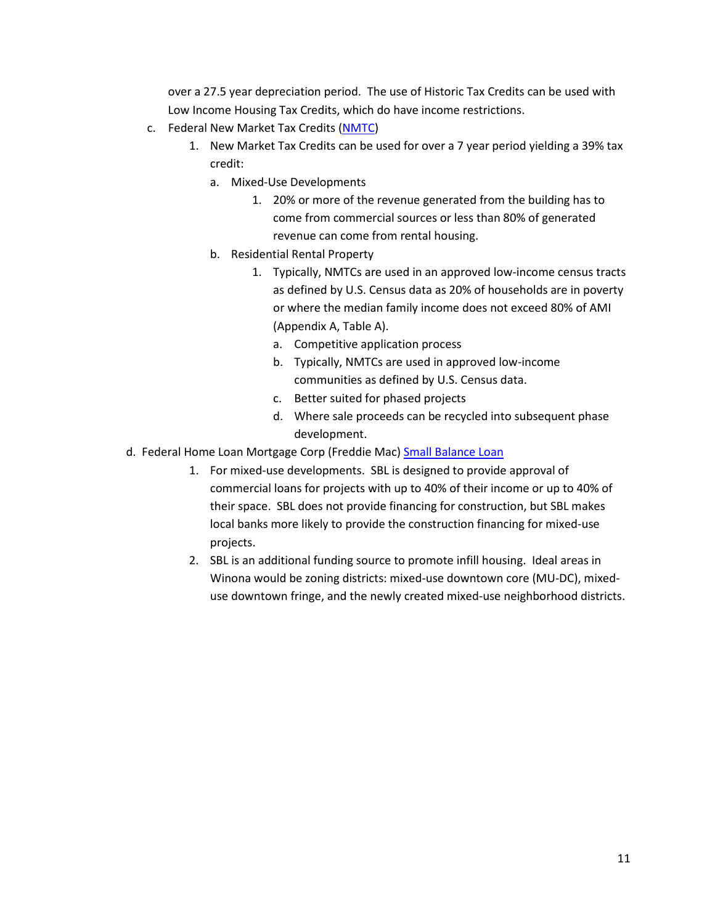over a 27.5 year depreciation period. The use of Historic Tax Credits can be used with Low Income Housing Tax Credits, which do have income restrictions.

- c. Federal New Market Tax Credits [\(NMTC\)](https://www.housingonline.com/Documents/Developing_For_Sale_and_Rental_Housing_Using_NMTCsa.pdf)
	- 1. New Market Tax Credits can be used for over a 7 year period yielding a 39% tax credit:
		- a. Mixed-Use Developments
			- 1. 20% or more of the revenue generated from the building has to come from commercial sources or less than 80% of generated revenue can come from rental housing.
		- b. Residential Rental Property
			- 1. Typically, NMTCs are used in an approved low-income census tracts as defined by U.S. Census data as 20% of households are in poverty or where the median family income does not exceed 80% of AMI (Appendix A, Table A).
				- a. Competitive application process
				- b. Typically, NMTCs are used in approved low-income communities as defined by U.S. Census data.
				- c. Better suited for phased projects
				- d. Where sale proceeds can be recycled into subsequent phase development.
- d. Federal Home Loan Mortgage Corp (Freddie Mac) [Small Balance Loan](http://www.freddiemac.com/multifamily/product/sbl.html)
	- 1. For mixed-use developments. SBL is designed to provide approval of commercial loans for projects with up to 40% of their income or up to 40% of their space. SBL does not provide financing for construction, but SBL makes local banks more likely to provide the construction financing for mixed-use projects.
	- 2. SBL is an additional funding source to promote infill housing. Ideal areas in Winona would be zoning districts: mixed-use downtown core (MU-DC), mixeduse downtown fringe, and the newly created mixed-use neighborhood districts.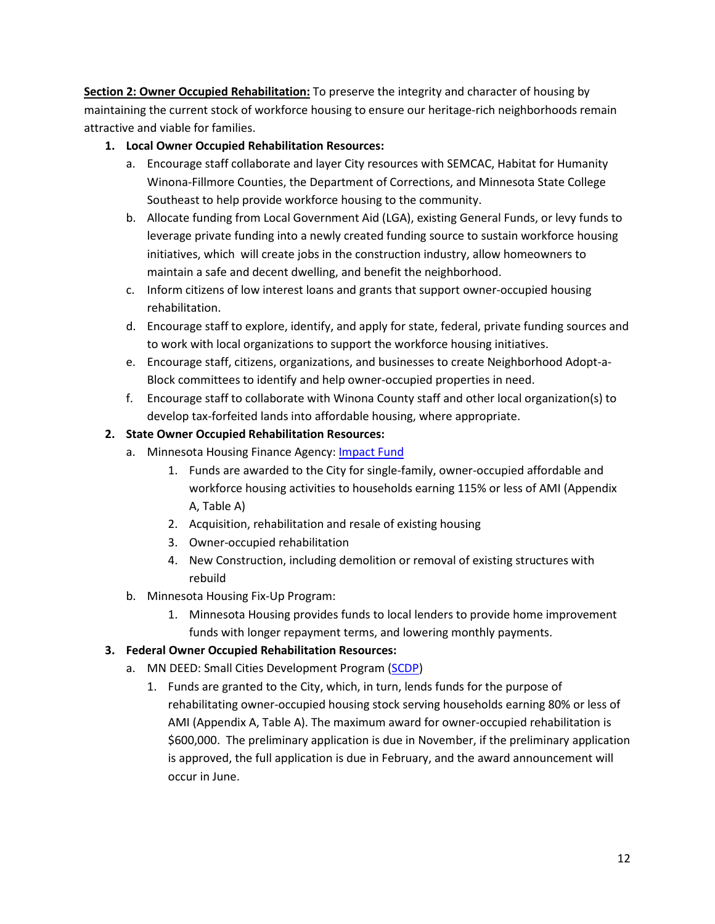**Section 2: Owner Occupied Rehabilitation:** To preserve the integrity and character of housing by maintaining the current stock of workforce housing to ensure our heritage-rich neighborhoods remain attractive and viable for families.

# **1. Local Owner Occupied Rehabilitation Resources:**

- a. Encourage staff collaborate and layer City resources with SEMCAC, Habitat for Humanity Winona-Fillmore Counties, the Department of Corrections, and Minnesota State College Southeast to help provide workforce housing to the community.
- b. Allocate funding from Local Government Aid (LGA), existing General Funds, or levy funds to leverage private funding into a newly created funding source to sustain workforce housing initiatives, which will create jobs in the construction industry, allow homeowners to maintain a safe and decent dwelling, and benefit the neighborhood.
- c. Inform citizens of low interest loans and grants that support owner-occupied housing rehabilitation.
- d. Encourage staff to explore, identify, and apply for state, federal, private funding sources and to work with local organizations to support the workforce housing initiatives.
- e. Encourage staff, citizens, organizations, and businesses to create Neighborhood Adopt-a-Block committees to identify and help owner-occupied properties in need.
- f. Encourage staff to collaborate with Winona County staff and other local organization(s) to develop tax-forfeited lands into affordable housing, where appropriate.

# **2. State Owner Occupied Rehabilitation Resources:**

- a. Minnesota Housing Finance Agency: [Impact Fund](http://www.mnhousing.gov/wcs/Satellite?c=Page&cid=1358906164357&pagename=External%2FPage%2FEXTStandardLayout)
	- 1. Funds are awarded to the City for single-family, owner-occupied affordable and workforce housing activities to households earning 115% or less of AMI (Appendix A, Table A)
	- 2. Acquisition, rehabilitation and resale of existing housing
	- 3. Owner-occupied rehabilitation
	- 4. New Construction, including demolition or removal of existing structures with rebuild
- b. Minnesota Housing Fix-Up Program:
	- 1. Minnesota Housing provides funds to local lenders to provide home improvement funds with longer repayment terms, and lowering monthly payments.

# **3. Federal Owner Occupied Rehabilitation Resources:**

- a. MN DEED: Small Cities Development Program [\(SCDP\)](http://www.semcac.org/)
	- 1. Funds are granted to the City, which, in turn, lends funds for the purpose of rehabilitating owner-occupied housing stock serving households earning 80% or less of AMI (Appendix A, Table A). The maximum award for owner-occupied rehabilitation is \$600,000. The preliminary application is due in November, if the preliminary application is approved, the full application is due in February, and the award announcement will occur in June.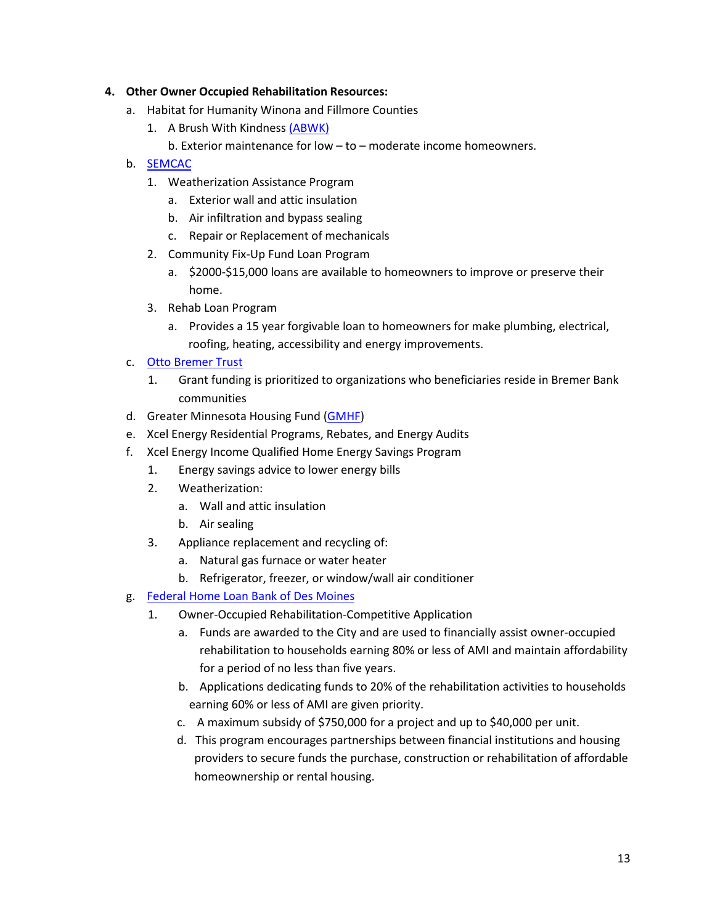## **4. Other Owner Occupied Rehabilitation Resources:**

- a. Habitat for Humanity Winona and Fillmore Counties
	- 1. A Brush With Kindnes[s \(ABWK\)](http://habitatwinona.org/a-brush-with-kindness/)
		- b. Exterior maintenance for low to moderate income homeowners.
- b. [SEMCAC](http://www.semcac.org/)
	- 1. Weatherization Assistance Program
		- a. Exterior wall and attic insulation
		- b. Air infiltration and bypass sealing
		- c. Repair or Replacement of mechanicals
	- 2. Community Fix-Up Fund Loan Program
		- a. \$2000-\$15,000 loans are available to homeowners to improve or preserve their home.
	- 3. Rehab Loan Program
		- a. Provides a 15 year forgivable loan to homeowners for make plumbing, electrical, roofing, heating, accessibility and energy improvements.

## c. [Otto Bremer Trust](http://ottobremer.org/social-return/#How-To-Apply)

- 1. Grant funding is prioritized to organizations who beneficiaries reside in Bremer Bank communities
- d. Greater Minnesota Housing Fund [\(GMHF\)](http://gmhf.com/)
- e. Xcel Energy Residential Programs, Rebates, and Energy Audits
- f. Xcel Energy Income Qualified Home Energy Savings Program
	- 1. Energy savings advice to lower energy bills
	- 2. Weatherization:
		- a. Wall and attic insulation
		- b. Air sealing
	- 3. Appliance replacement and recycling of:
		- a. Natural gas furnace or water heater
		- b. Refrigerator, freezer, or window/wall air conditioner
- g. [Federal Home Loan Bank of Des Moines](http://www.fhlbdm.com/)
	- 1. Owner-Occupied Rehabilitation-Competitive Application
		- a. Funds are awarded to the City and are used to financially assist owner-occupied rehabilitation to households earning 80% or less of AMI and maintain affordability for a period of no less than five years.
		- b. Applications dedicating funds to 20% of the rehabilitation activities to households earning 60% or less of AMI are given priority.
		- c. A maximum subsidy of \$750,000 for a project and up to \$40,000 per unit.
		- d. This program encourages partnerships between financial institutions and housing providers to secure funds the purchase, construction or rehabilitation of affordable homeownership or rental housing.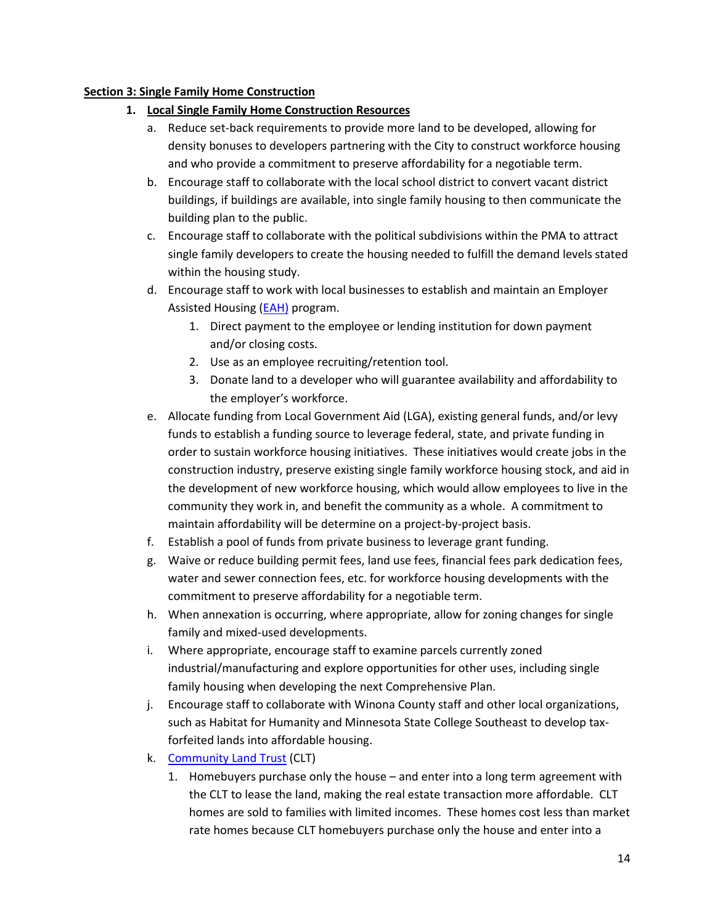## **Section 3: Single Family Home Construction**

# **1. Local Single Family Home Construction Resources**

- a. Reduce set-back requirements to provide more land to be developed, allowing for density bonuses to developers partnering with the City to construct workforce housing and who provide a commitment to preserve affordability for a negotiable term.
- b. Encourage staff to collaborate with the local school district to convert vacant district buildings, if buildings are available, into single family housing to then communicate the building plan to the public.
- c. Encourage staff to collaborate with the political subdivisions within the PMA to attract single family developers to create the housing needed to fulfill the demand levels stated within the housing study.
- d. Encourage staff to work with local businesses to establish and maintain an Employer Assisted Housing [\(EAH\)](http://gmhf.com/about/programs/employer-assisted-housing/) program.
	- 1. Direct payment to the employee or lending institution for down payment and/or closing costs.
	- 2. Use as an employee recruiting/retention tool.
	- 3. Donate land to a developer who will guarantee availability and affordability to the employer's workforce.
- e. Allocate funding from Local Government Aid (LGA), existing general funds, and/or levy funds to establish a funding source to leverage federal, state, and private funding in order to sustain workforce housing initiatives. These initiatives would create jobs in the construction industry, preserve existing single family workforce housing stock, and aid in the development of new workforce housing, which would allow employees to live in the community they work in, and benefit the community as a whole. A commitment to maintain affordability will be determine on a project-by-project basis.
- f. Establish a pool of funds from private business to leverage grant funding.
- g. Waive or reduce building permit fees, land use fees, financial fees park dedication fees, water and sewer connection fees, etc. for workforce housing developments with the commitment to preserve affordability for a negotiable term.
- h. When annexation is occurring, where appropriate, allow for zoning changes for single family and mixed-used developments.
- i. Where appropriate, encourage staff to examine parcels currently zoned industrial/manufacturing and explore opportunities for other uses, including single family housing when developing the next Comprehensive Plan.
- j. Encourage staff to collaborate with Winona County staff and other local organizations, such as Habitat for Humanity and Minnesota State College Southeast to develop taxforfeited lands into affordable housing.
- k. [Community Land Trust](http://www.mncltc.org/) (CLT)
	- 1. Homebuyers purchase only the house and enter into a long term agreement with the CLT to lease the land, making the real estate transaction more affordable. CLT homes are sold to families with limited incomes. These homes cost less than market rate homes because CLT homebuyers purchase only the house and enter into a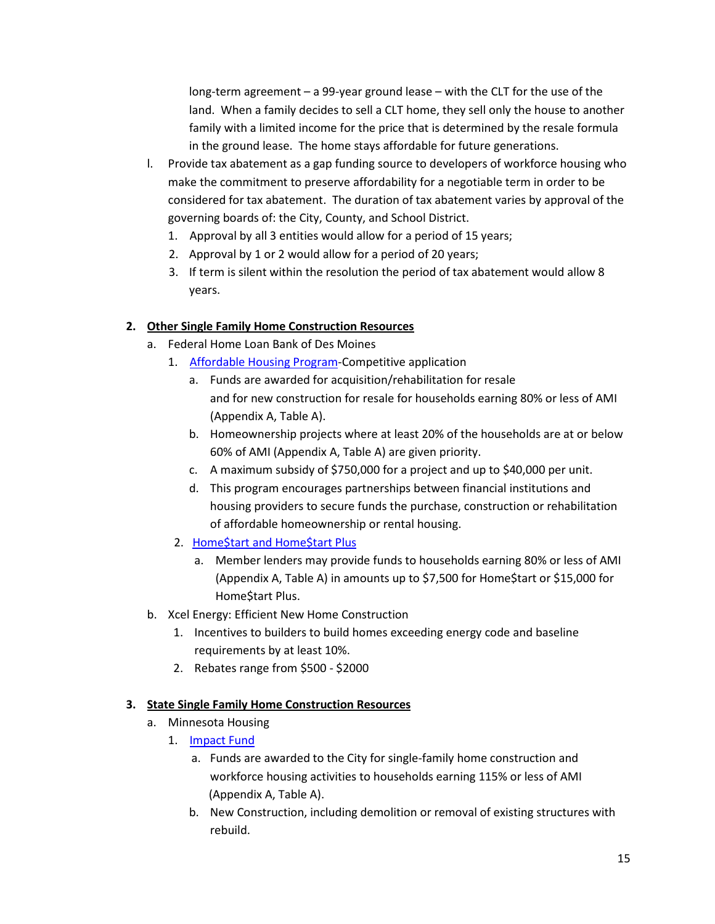long-term agreement – a 99-year ground lease – with the CLT for the use of the land. When a family decides to sell a CLT home, they sell only the house to another family with a limited income for the price that is determined by the resale formula in the ground lease. The home stays affordable for future generations.

- l. Provide tax abatement as a gap funding source to developers of workforce housing who make the commitment to preserve affordability for a negotiable term in order to be considered for tax abatement. The duration of tax abatement varies by approval of the governing boards of: the City, County, and School District.
	- 1. Approval by all 3 entities would allow for a period of 15 years;
	- 2. Approval by 1 or 2 would allow for a period of 20 years;
	- 3. If term is silent within the resolution the period of tax abatement would allow 8 years.

# **2. Other Single Family Home Construction Resources**

- a. Federal Home Loan Bank of Des Moines
	- 1. [Affordable Housing Program-](http://www.fhlbdm.com/affordable-housing-products/)Competitive application
		- a. Funds are awarded for acquisition/rehabilitation for resale and for new construction for resale for households earning 80% or less of AMI (Appendix A, Table A).
		- b. Homeownership projects where at least 20% of the households are at or below 60% of AMI (Appendix A, Table A) are given priority.
		- c. A maximum subsidy of \$750,000 for a project and up to \$40,000 per unit.
		- d. This program encourages partnerships between financial institutions and housing providers to secure funds the purchase, construction or rehabilitation of affordable homeownership or rental housing.
	- 2. [Home\\$tart and Home\\$tart Plus](http://www.fhlbdm.com/affordable-housing-products/down-payment-products/hometart-and-hometart-plus/)
		- a. Member lenders may provide funds to households earning 80% or less of AMI (Appendix A, Table A) in amounts up to \$7,500 for Home\$tart or \$15,000 for Home\$tart Plus.
- b. Xcel Energy: Efficient New Home Construction
	- 1. Incentives to builders to build homes exceeding energy code and baseline requirements by at least 10%.
	- 2. Rebates range from \$500 \$2000

# **3. State Single Family Home Construction Resources**

- a. Minnesota Housing
	- 1. [Impact Fund](http://www.mnhousing.gov/wcs/Satellite?c=Page&cid=1358906164357&pagename=External%2FPage%2FEXTStandardLayout)
		- a. Funds are awarded to the City for single-family home construction and workforce housing activities to households earning 115% or less of AMI (Appendix A, Table A).
		- b. New Construction, including demolition or removal of existing structures with rebuild.